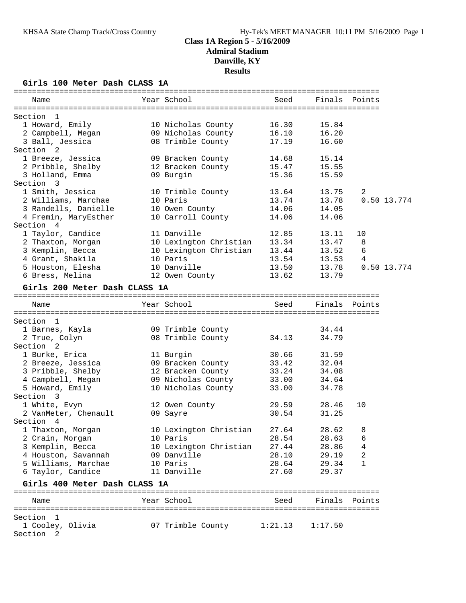|  |  |  | Girls 100 Meter Dash CLASS 1A |  |  |  |
|--|--|--|-------------------------------|--|--|--|
|--|--|--|-------------------------------|--|--|--|

| Name                          | Year School                  | Seed    | Finals  | Points |             |
|-------------------------------|------------------------------|---------|---------|--------|-------------|
|                               |                              |         |         |        |             |
| Section 1                     |                              |         |         |        |             |
| 1 Howard, Emily               | 10 Nicholas County           | 16.30   | 15.84   |        |             |
| 2 Campbell, Megan             | 09 Nicholas County           | 16.10   | 16.20   |        |             |
| 3 Ball, Jessica               | 08 Trimble County            | 17.19   | 16.60   |        |             |
| Section 2                     |                              |         |         |        |             |
| 1 Breeze, Jessica             | 09 Bracken County            | 14.68   | 15.14   |        |             |
| 2 Pribble, Shelby             | 12 Bracken County            | 15.47   | 15.55   |        |             |
| 3 Holland, Emma               | 09 Burgin                    | 15.36   | 15.59   |        |             |
| Section 3                     |                              |         |         |        |             |
| 1 Smith, Jessica              | 10 Trimble County            | 13.64   | 13.75   | 2      |             |
| 2 Williams, Marchae           | 10 Paris                     | 13.74   | 13.78   |        | 0.50 13.774 |
| 3 Randells, Danielle          | 10 Owen County               | 14.06   | 14.05   |        |             |
| 4 Fremin, MaryEsther          | 10 Carroll County            | 14.06   | 14.06   |        |             |
| Section 4                     |                              |         |         |        |             |
| 1 Taylor, Candice             | 11 Danville                  | 12.85   | 13.11   | 10     |             |
| 2 Thaxton, Morgan             | 10 Lexington Christian       | 13.34   | 13.47   | 8      |             |
| 3 Kemplin, Becca              | 10 Lexington Christian       | 13.44   | 13.52   | 6      |             |
| 4 Grant, Shakila              | 10 Paris                     | 13.54   | 13.53   | 4      |             |
| 5 Houston, Elesha             | 10 Danville                  | 13.50   | 13.78   |        | 0.50 13.774 |
| 6 Bress, Melina               | 12 Owen County               | 13.62   | 13.79   |        |             |
| Girls 200 Meter Dash CLASS 1A |                              |         |         |        |             |
|                               |                              |         |         |        |             |
| Name                          | Year School                  | Seed    | Finals  | Points |             |
| Section 1                     |                              |         |         |        |             |
| 1 Barnes, Kayla               | 09 Trimble County            |         | 34.44   |        |             |
| 2 True, Colyn                 | 08 Trimble County            | 34.13   | 34.79   |        |             |
| Section <sub>2</sub>          |                              |         |         |        |             |
| 1 Burke, Erica                | 11 Burgin                    | 30.66   | 31.59   |        |             |
| 2 Breeze, Jessica             | 09 Bracken County            | 33.42   | 32.04   |        |             |
| 3 Pribble, Shelby             | 12 Bracken County            | 33.24   | 34.08   |        |             |
| 4 Campbell, Megan             | 09 Nicholas County           | 33.00   | 34.64   |        |             |
| 5 Howard, Emily               | 10 Nicholas County           | 33.00   | 34.78   |        |             |
| Section 3                     |                              |         |         |        |             |
| 1 White, Evyn                 | 12 Owen County               | 29.59   | 28.46   | 10     |             |
| 2 VanMeter, Chenault          | 09 Sayre                     | 30.54   | 31.25   |        |             |
| Section 4                     |                              |         |         |        |             |
| 1 Thaxton, Morgan             | 10 Lexington Christian 27.64 |         | 28.62   | 8      |             |
| 2 Crain, Morgan               | 10 Paris                     | 28.54   | 28.63   | 6      |             |
| 3 Kemplin, Becca              | 10 Lexington Christian       | 27.44   | 28.86   | 4      |             |
| 4 Houston, Savannah           | 09 Danville                  | 28.10   | 29.19   | 2      |             |
| 5 Williams, Marchae           | 10 Paris                     | 28.64   | 29.34   | 1      |             |
| 6 Taylor, Candice             | 11 Danville                  | 27.60   | 29.37   |        |             |
|                               |                              |         |         |        |             |
| Girls 400 Meter Dash CLASS 1A |                              |         |         |        |             |
|                               |                              |         | Finals  |        |             |
| Name                          | Year School                  | Seed    |         | Points |             |
| Section 1                     |                              |         |         |        |             |
| 1 Cooley, Olivia              | 07 Trimble County            | 1:21.13 | 1:17.50 |        |             |
| Section 2                     |                              |         |         |        |             |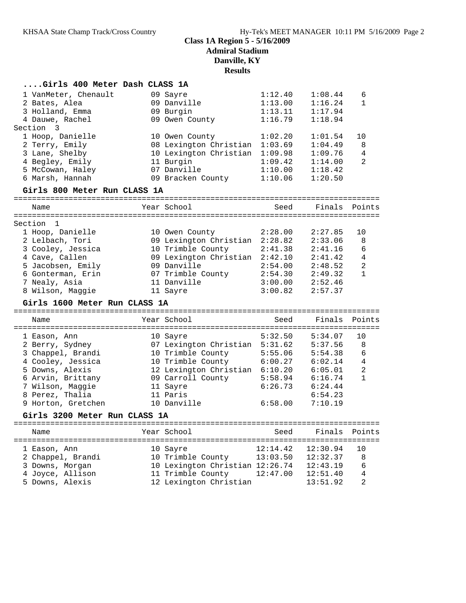**....Girls 400 Meter Dash CLASS 1A**

| 1 VanMeter, Chenault          | 09 Sayre                        | 1:12.40  | 1:08.44  | 6              |
|-------------------------------|---------------------------------|----------|----------|----------------|
| 2 Bates, Alea                 | 09 Danville                     | 1:13.00  | 1:16.24  | 1              |
| 3 Holland, Emma               | 09 Burgin                       | 1:13.11  | 1:17.94  |                |
| 4 Dauwe, Rachel               | 09 Owen County                  | 1:16.79  | 1:18.94  |                |
| Section<br>-3                 |                                 |          |          |                |
| 1 Hoop, Danielle              | 10 Owen County                  | 1:02.20  | 1:01.54  | 10             |
| 2 Terry, Emily                | 08 Lexington Christian 1:03.69  |          | 1:04.49  | 8              |
| 3 Lane, Shelby                | 10 Lexington Christian 1:09.98  |          | 1:09.76  | 4              |
| 4 Begley, Emily               | 11 Burgin                       | 1:09.42  | 1:14.00  | 2              |
| 5 McCowan, Haley              | 07 Danville                     | 1:10.00  | 1:18.42  |                |
| 6 Marsh, Hannah               | 09 Bracken County               | 1:10.06  | 1:20.50  |                |
|                               |                                 |          |          |                |
| Girls 800 Meter Run CLASS 1A  |                                 |          |          |                |
| Name                          | Year School                     | Seed     | Finals   | Points         |
|                               |                                 |          |          |                |
| Section<br>$\mathbf{1}$       |                                 |          |          |                |
| 1 Hoop, Danielle              | 10 Owen County                  | 2:28.00  | 2:27.85  | 10             |
| 2 Lelbach, Tori               | 09 Lexington Christian 2:28.82  |          | 2:33.06  | 8              |
| 3 Cooley, Jessica             | 10 Trimble County               | 2:41.38  | 2:41.16  | 6              |
| 4 Cave, Callen                | 09 Lexington Christian 2:42.10  |          | 2:41.42  | 4              |
| 5 Jacobsen, Emily             | 09 Danville                     | 2:54.00  | 2:48.52  | 2              |
| 6 Gonterman, Erin             | 07 Trimble County               | 2:54.30  | 2:49.32  | $\mathbf{1}$   |
| 7 Nealy, Asia                 | 11 Danville                     | 3:00.00  | 2:52.46  |                |
| 8 Wilson, Maggie              | 11 Sayre                        | 3:00.82  | 2:57.37  |                |
| Girls 1600 Meter Run CLASS 1A |                                 |          |          |                |
|                               |                                 |          |          |                |
| Name                          | Year School                     | Seed     | Finals   | Points         |
|                               |                                 |          |          |                |
| 1 Eason, Ann                  | 10 Sayre                        | 5:32.50  | 5:34.07  | 10             |
| 2 Berry, Sydney               | 07 Lexington Christian 5:31.62  |          | 5:37.56  | 8              |
| 3 Chappel, Brandi             | 10 Trimble County               | 5:55.06  | 5:54.38  | 6              |
| 4 Cooley, Jessica             | 10 Trimble County               | 6:00.27  | 6:02.14  | 4              |
| 5 Downs, Alexis               | 12 Lexington Christian 6:10.20  |          | 6:05.01  | 2              |
| 6 Arvin, Brittany             | 09 Carroll County               | 5:58.94  | 6:16.74  | $\mathbf{1}$   |
| 7 Wilson, Maggie              | 11 Sayre                        | 6:26.73  | 6:24.44  |                |
| 8 Perez, Thalia               | 11 Paris                        |          | 6:54.23  |                |
| 9 Horton, Gretchen            | 10 Danville                     | 6:58.00  | 7:10.19  |                |
|                               |                                 |          |          |                |
| Girls 3200 Meter Run CLASS 1A |                                 |          |          |                |
| Name                          | Year School                     | Seed     | Finals   | Points         |
|                               |                                 |          |          |                |
| 1 Eason, Ann                  | 10 Sayre                        | 12:14.42 | 12:30.94 | 10             |
| 2 Chappel, Brandi             | 10 Trimble County               | 13:03.50 | 12:32.37 | 8              |
| 3 Downs, Morgan               | 10 Lexington Christian 12:26.74 |          | 12:43.19 | 6              |
| 4 Joyce, Allison              | 11 Trimble County               | 12:47.00 | 12:51.40 | 4              |
| 5 Downs, Alexis               | 12 Lexington Christian          |          | 13:51.92 | $\overline{2}$ |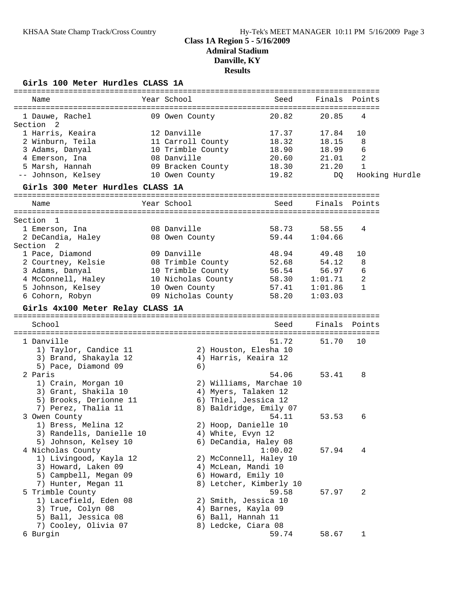#### **Girls 100 Meter Hurdles CLASS 1A**

| Name                                       | Year School                                           | Seed                                       |         | Finals Points  |
|--------------------------------------------|-------------------------------------------------------|--------------------------------------------|---------|----------------|
|                                            |                                                       |                                            |         |                |
| 1 Dauwe, Rachel<br>Section <sub>2</sub>    | 09 Owen County                                        | 20.82                                      | 20.85   | 4              |
| 1 Harris, Keaira                           | 12 Danville<br>11 Carroll County<br>10 Trimble County | 17.37                                      | 17.84   | 10             |
| 2 Winburn, Teila                           |                                                       | 18.32                                      | 18.15   | 8              |
| 3 Adams, Danyal                            |                                                       | 18.90                                      | 18.99   | 6              |
| 4 Emerson, Ina                             | 08 Danville                                           | 20.60                                      | 21.01   | 2              |
| 5 Marsh, Hannah                            | 09 Bracken County 18.30                               |                                            | 21.20   | 1              |
| -- Johnson, Kelsey                         | 10 Owen County 19.82                                  |                                            | DQ      | Hooking Hurdle |
| Girls 300 Meter Hurdles CLASS 1A           |                                                       |                                            |         |                |
| Name                                       | Year School                                           | Seed                                       |         | Finals Points  |
| Section 1                                  |                                                       |                                            |         |                |
| 1 Emerson, Ina                             | 08 Danville                                           | 58.73                                      | 58.55   | 4              |
| 2 DeCandia, Haley                          | 08 Owen County                                        | 59.44                                      | 1:04.66 |                |
| Section <sub>2</sub>                       |                                                       |                                            |         |                |
| 1 Pace, Diamond                            | 09 Danville                                           | 48.94                                      | 49.48   | 10             |
| 2 Courtney, Kelsie 68 Trimble County 52.68 |                                                       |                                            | 54.12   | 8              |
| 3 Adams, Danyal                            | 10 Trimble County 56.54                               |                                            | 56.97   | 6              |
| 4 McConnell, Haley                         |                                                       |                                            |         | 2              |
| 5 Johnson, Kelsey                          | 10 Nicholas County<br>10 Owen County                  | 58.30       1:01.71<br>57.41       1:01.86 |         | $\mathbf{1}$   |
| 6 Cohorn, Robyn                            | 09 Nicholas County 58.20 1:03.03                      |                                            |         |                |
|                                            |                                                       |                                            |         |                |
| Girls 4x100 Meter Relay CLASS 1A           |                                                       |                                            |         |                |
| School                                     |                                                       | Seed                                       |         | Finals Points  |
| 1 Danville                                 |                                                       | 51.72                                      | 51.70   | 10             |
| 1) Taylor, Candice 11                      | 2) Houston, Elesha 10                                 |                                            |         |                |
| 3) Brand, Shakayla 12                      | 4) Harris, Keaira 12                                  |                                            |         |                |
| 5) Pace, Diamond 09                        | 6)                                                    |                                            |         |                |
| 2 Paris                                    |                                                       | 54.06                                      | 53.41   | 8              |
| 1) Crain, Morgan 10                        | 2) Williams, Marchae 10                               |                                            |         |                |
| 3) Grant, Shakila 10                       | 4) Myers, Talaken 12                                  |                                            |         |                |
|                                            | 6) Thiel, Jessica 12                                  |                                            |         |                |
| 5) Brooks, Derionne 11                     |                                                       |                                            |         |                |
| 7) Perez, Thalia 11                        | 8) Baldridge, Emily 07                                |                                            |         |                |
| 3 Owen County                              |                                                       | 54.11                                      | 53.53   | 6              |
| 1) Bress, Melina 12                        | 2) Hoop, Danielle 10                                  |                                            |         |                |
| 3) Randells, Danielle 10                   | 4) White, Evyn 12                                     |                                            |         |                |
| 5) Johnson, Kelsey 10                      | 6) DeCandia, Haley 08                                 |                                            |         |                |
| 4 Nicholas County                          |                                                       | 1:00.02                                    | 57.94   | 4              |
| 1) Livingood, Kayla 12                     | 2) McConnell, Haley 10                                |                                            |         |                |
| 3) Howard, Laken 09                        | 4) McLean, Mandi 10                                   |                                            |         |                |
|                                            |                                                       |                                            |         |                |
| 5) Campbell, Megan 09                      | 6) Howard, Emily 10                                   |                                            |         |                |
| 7) Hunter, Megan 11                        | 8) Letcher, Kimberly 10                               |                                            |         |                |
| 5 Trimble County                           |                                                       | 59.58                                      | 57.97   | 2              |
| 1) Lacefield, Eden 08                      | Smith, Jessica 10<br>2)                               |                                            |         |                |
| 3) True, Colyn 08                          | 4) Barnes, Kayla 09                                   |                                            |         |                |
| 5) Ball, Jessica 08                        | 6) Ball, Hannah 11                                    |                                            |         |                |
| 7) Cooley, Olivia 07                       | 8) Ledcke, Ciara 08                                   |                                            |         |                |
| 6 Burgin                                   |                                                       | 59.74                                      | 58.67   | $\mathbf 1$    |
|                                            |                                                       |                                            |         |                |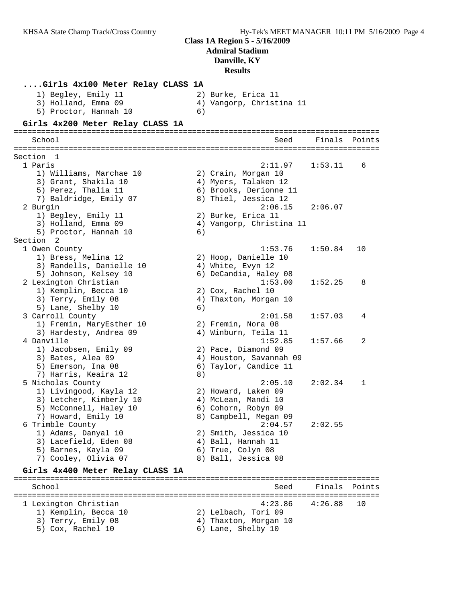#### **....Girls 4x100 Meter Relay CLASS 1A** 1) Begley, Emily 11 2) Burke, Erica 11 3) Holland, Emma 09 4) Vangorp, Christina 11 5) Proctor, Hannah 10 (6) **Girls 4x200 Meter Relay CLASS 1A** ================================================================================ School Seed Finals Points ================================================================================ Section 1<br>1 Paris 1 Paris 2:11.97 1:53.11 6 1) Williams, Marchae 10 2) Crain, Morgan 10 3) Grant, Shakila 10 4) Myers, Talaken 12 5) Perez, Thalia 11 6) Brooks, Derionne 11 7) Baldridge, Emily 07 8) Thiel, Jessica 12 2 Burgin 2:06.15 2:06.07 1) Begley, Emily 11 2) Burke, Erica 11 3) Holland, Emma 09 4) Vangorp, Christina 11 5) Proctor, Hannah 10 (6) Section 2<br>1 Owen County 1 Owen County 1:53.76 1:50.84 10 1) Bress, Melina 12 2) Hoop, Danielle 10 3) Randells, Danielle 10  $\hskip 1.6cm 4$  White, Evyn 12 5) Johnson, Kelsey 10 6) DeCandia, Haley 08 2 Lexington Christian 1:53.00 1:52.25 8 1) Kemplin, Becca 10 2) Cox, Rachel 10 3) Terry, Emily 08 4) Thaxton, Morgan 10 5) Lane, Shelby 10 (6) 3 Carroll County 2:01.58 1:57.03 4 1) Fremin, MaryEsther 10 2) Fremin, Nora 08 3) Hardesty, Andrea 09 4) Winburn, Teila 11 4 Danville 1:52.85 1:57.66 2 1) Jacobsen, Emily 09 2) Pace, Diamond 09 3) Bates, Alea 09 4) Houston, Savannah 09 5) Emerson, Ina 08 (6) Taylor, Candice 11 7) Harris, Keaira 12 (8) 5 Nicholas County 2:05.10 2:02.34 1 1) Livingood, Kayla 12 2) Howard, Laken 09 3) Letcher, Kimberly 10 4) McLean, Mandi 10 5) McConnell, Haley 10 6) Cohorn, Robyn 09 7) Howard, Emily 10 8) Campbell, Megan 09 6 Trimble County 2:04.57 2:02.55 1) Adams, Danyal 10 2) Smith, Jessica 10 3) Lacefield, Eden 08 (4) Ball, Hannah 11 5) Barnes, Kayla 09 6) True, Colyn 08 7) Cooley, Olivia 07 8) Ball, Jessica 08 **Girls 4x400 Meter Relay CLASS 1A** ================================================================================ School School Seed Finals Points ================================================================================ 1 Lexington Christian 4:23.86 4:26.88 10 1) Kemplin, Becca 10 2) Lelbach, Tori 09 3) Terry, Emily 08 4) Thaxton, Morgan 10 5) Cox, Rachel 10 6) Lane, Shelby 10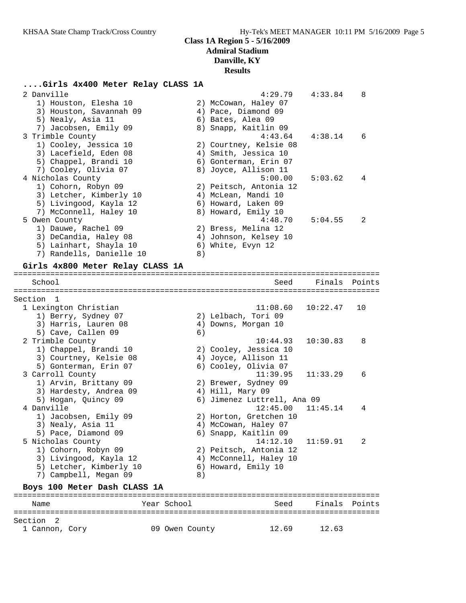#### **....Girls 4x400 Meter Relay CLASS 1A**

| 2 Danville                       |    | 4:29.79                     | 4:33.84  | 8      |
|----------------------------------|----|-----------------------------|----------|--------|
| 1) Houston, Elesha 10            |    | 2) McCowan, Haley 07        |          |        |
| 3) Houston, Savannah 09          |    | 4) Pace, Diamond 09         |          |        |
| 5) Nealy, Asia 11                |    | 6) Bates, Alea 09           |          |        |
| 7) Jacobsen, Emily 09            |    | 8) Snapp, Kaitlin 09        |          |        |
| 3 Trimble County                 |    | 4:43.64                     | 4:38.14  | 6      |
| 1) Cooley, Jessica 10            |    | 2) Courtney, Kelsie 08      |          |        |
| 3) Lacefield, Eden 08            |    | 4) Smith, Jessica 10        |          |        |
| 5) Chappel, Brandi 10            |    | 6) Gonterman, Erin 07       |          |        |
| 7) Cooley, Olivia 07             |    | 8) Joyce, Allison 11        |          |        |
| 4 Nicholas County                |    | 5:00.00                     | 5:03.62  | 4      |
| 1) Cohorn, Robyn 09              |    | 2) Peitsch, Antonia 12      |          |        |
| 3) Letcher, Kimberly 10          |    | 4) McLean, Mandi 10         |          |        |
| 5) Livingood, Kayla 12           |    | 6) Howard, Laken 09         |          |        |
| 7) McConnell, Haley 10           |    | 8) Howard, Emily 10         |          |        |
| 5 Owen County                    |    | 4:48.70                     | 5:04.55  | 2      |
| 1) Dauwe, Rachel 09              |    | 2) Bress, Melina 12         |          |        |
| 3) DeCandia, Haley 08            |    | 4) Johnson, Kelsey 10       |          |        |
| 5) Lainhart, Shayla 10           |    | 6) White, Evyn 12           |          |        |
| 7) Randells, Danielle 10         | 8) |                             |          |        |
| Girls 4x800 Meter Relay CLASS 1A |    |                             |          |        |
|                                  |    |                             |          |        |
| School                           |    | Seed                        | Finals   | Points |
|                                  |    |                             |          |        |
| Section 1                        |    |                             |          |        |
| 1 Lexington Christian            |    | 11:08.60                    | 10:22.47 | 10     |
| 1) Berry, Sydney 07              |    | 2) Lelbach, Tori 09         |          |        |
| 3) Harris, Lauren 08             |    | 4) Downs, Morgan 10         |          |        |
| 5) Cave, Callen 09               |    |                             |          |        |
|                                  | 6) |                             |          |        |
| 2 Trimble County                 |    | 10:44.93                    | 10:30.83 | 8      |
| 1) Chappel, Brandi 10            |    | 2) Cooley, Jessica 10       |          |        |
| 3) Courtney, Kelsie 08           |    | 4) Joyce, Allison 11        |          |        |
| 5) Gonterman, Erin 07            |    | 6) Cooley, Olivia 07        |          |        |
| 3 Carroll County                 |    | 11:39.95                    | 11:33.29 | 6      |
| 1) Arvin, Brittany 09            |    | 2) Brewer, Sydney 09        |          |        |
| 3) Hardesty, Andrea 09           |    | 4) Hill, Mary 09            |          |        |
| 5) Hogan, Quincy 09              |    | 6) Jimenez Luttrell, Ana 09 |          |        |
| 4 Danville                       |    | 12:45.00                    | 11:45.14 | 4      |
| 1) Jacobsen, Emily 09            |    | 2) Horton, Gretchen 10      |          |        |
| 3) Nealy, Asia 11                |    | 4) McCowan, Haley 07        |          |        |
| 5) Pace, Diamond 09              |    | 6) Snapp, Kaitlin 09        |          |        |
| 5 Nicholas County                |    | 14:12.10                    | 11:59.91 | 2      |
| 1) Cohorn, Robyn 09              |    | 2) Peitsch, Antonia 12      |          |        |
| 3) Livingood, Kayla 12           |    | 4) McConnell, Haley 10      |          |        |
| 5) Letcher, Kimberly 10          |    | 6) Howard, Emily 10         |          |        |
| 7) Campbell, Megan 09            | 8) |                             |          |        |

================================================================================ Name Year School Seed Finals Points ================================================================================ Section 2 1 Cannon, Cory 09 Owen County 12.69 12.63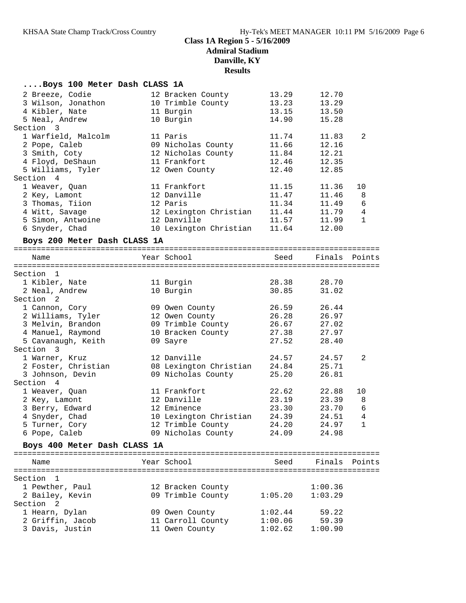### **....Boys 100 Meter Dash CLASS 1A**

| 2 Breeze, Codie                     | 12 Bracken County                | 13.29          | 12.70          |              |
|-------------------------------------|----------------------------------|----------------|----------------|--------------|
| 3 Wilson, Jonathon                  | 10 Trimble County                | 13.23          | 13.29          |              |
| 4 Kibler, Nate                      | 11 Burgin                        | 13.15          | 13.50          |              |
| 5 Neal, Andrew                      | 10 Burgin                        | 14.90          | 15.28          |              |
| Section 3                           |                                  |                |                |              |
| 1 Warfield, Malcolm                 | 11 Paris                         | 11.74          | 11.83          | 2            |
| 2 Pope, Caleb                       | 09 Nicholas County               | 11.66          | 12.16          |              |
| 3 Smith, Coty                       | 12 Nicholas County               | 11.84          | 12.21          |              |
| 4 Floyd, DeShaun                    | 11 Frankfort                     | 12.46          | 12.35          |              |
| 5 Williams, Tyler                   | 12 Owen County                   | 12.40          | 12.85          |              |
| Section<br>4                        |                                  |                |                |              |
| 1 Weaver, Quan                      | 11 Frankfort                     | 11.15          | 11.36          | 10           |
| 2 Key, Lamont                       | 12 Danville                      | 11.47          | 11.46          | 8            |
| 3 Thomas, Tiion                     | 12 Paris                         | 11.34          | 11.49          | 6            |
| 4 Witt, Savage                      | 12 Lexington Christian           | 11.44          | 11.79          | 4            |
| 5 Simon, Antwoine                   | 12 Danville                      | 11.57          | 11.99          | $\mathbf{1}$ |
| 6 Snyder, Chad                      | 10 Lexington Christian           | 11.64          | 12.00          |              |
| Boys 200 Meter Dash CLASS 1A        |                                  |                |                |              |
| Name                                | Year School                      | Seed           | Finals Points  |              |
|                                     |                                  |                |                |              |
| Section 1                           |                                  |                |                |              |
| 1 Kibler, Nate<br>2 Neal, Andrew    | 11 Burgin<br>10 Burgin           | 28.38<br>30.85 | 28.70<br>31.02 |              |
| Section 2                           |                                  |                |                |              |
|                                     |                                  | 26.59          | 26.44          |              |
| 1 Cannon, Cory<br>2 Williams, Tyler | 09 Owen County<br>12 Owen County | 26.28          | 26.97          |              |
| 3 Melvin, Brandon                   | 09 Trimble County                | 26.67          | 27.02          |              |
| 4 Manuel, Raymond                   | 10 Bracken County                | 27.38          | 27.97          |              |
| 5 Cavanaugh, Keith                  | 09 Sayre                         | 27.52          | 28.40          |              |
| Section 3                           |                                  |                |                |              |
| 1 Warner, Kruz                      | 12 Danville                      | 24.57          | 24.57          | 2            |
| 2 Foster, Christian                 | 08 Lexington Christian           | 24.84          | 25.71          |              |
| 3 Johnson, Devin                    | 09 Nicholas County               | 25.20          | 26.81          |              |
| Section 4                           |                                  |                |                |              |
| 1 Weaver, Quan                      | 11 Frankfort                     | 22.62          | 22.88          | 10           |
| 2 Key, Lamont                       | 12 Danville                      | 23.19          | 23.39          | 8            |
| 3 Berry, Edward                     | 12 Eminence                      | 23.30          | 23.70          | 6            |
| 4 Snyder, Chad                      | 10 Lexington Christian           | 24.39          | 24.51          | 4            |
| 5 Turner, Cory                      | 12 Trimble County                | 24.20          | 24.97          | $\mathbf{1}$ |
| 6 Pope, Caleb                       | 09 Nicholas County               | 24.09          | 24.98          |              |
| Boys 400 Meter Dash CLASS 1A        |                                  |                |                |              |
|                                     |                                  |                |                |              |
| Name                                | Year School                      | Seed           | Finals         | Points       |
| Section<br>-1                       |                                  |                |                |              |
| 1 Pewther, Paul                     | 12 Bracken County                |                | 1:00.36        |              |
| 2 Bailey, Kevin                     | 09 Trimble County                | 1:05.20        | 1:03.29        |              |
| Section<br>-2                       |                                  |                |                |              |
| 1 Hearn, Dylan                      | 09 Owen County                   | 1:02.44        | 59.22          |              |
| 2 Griffin, Jacob                    | 11 Carroll County                | 1:00.06        | 59.39          |              |
| 3 Davis, Justin                     | 11 Owen County                   | 1:02.62        | 1:00.90        |              |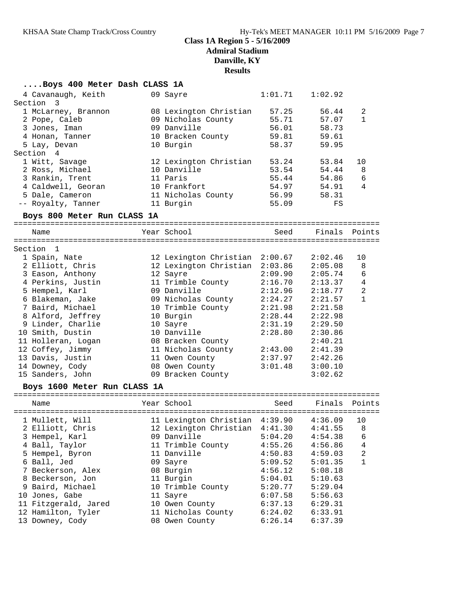# **....Boys 400 Meter Dash CLASS 1A**<br>4 Cavanaugh Keith 09 Saves

| 4 Cavanaugh, Keith<br>Section<br>- 3                                            | 09 Sayre                               | 1:01.71 | 1:02.92       |                |
|---------------------------------------------------------------------------------|----------------------------------------|---------|---------------|----------------|
| 1 McLarney, Brannon                                                             | 08 Lexington Christian                 | 57.25   | 56.44         | 2              |
| 2 Pope, Caleb                                                                   | 09 Nicholas County                     | 55.71   | 57.07         | $\mathbf{1}$   |
| 3 Jones, Iman                                                                   | 09 Danville                            | 56.01   | 58.73         |                |
| 4 Honan, Tanner                                                                 | 10 Bracken County                      | 59.81   | 59.61         |                |
| 5 Lay, Devan                                                                    | 10 Burgin                              | 58.37   | 59.95         |                |
| Section 4                                                                       |                                        |         |               |                |
| 1 Witt, Savage                                                                  | 12 Lexington Christian                 | 53.24   | 53.84         | 10             |
| 2 Ross, Michael                                                                 | 10 Danville                            | 53.54   | 54.44         | 8              |
| 3 Rankin, Trent                                                                 | 11 Paris                               | 55.44   | 54.86         | 6              |
| 4 Caldwell, Georan                                                              | 10 Frankfort                           | 54.97   | 54.91         | 4              |
| 5 Dale, Cameron                                                                 | 11 Nicholas County                     | 56.99   | 58.31         |                |
| -- Royalty, Tanner                                                              | 11 Burgin                              | 55.09   | FS            |                |
| Boys 800 Meter Run CLASS 1A                                                     |                                        |         |               |                |
|                                                                                 | Year School                            |         | Finals Points |                |
| Name                                                                            |                                        | Seed    |               |                |
| Section 1                                                                       |                                        |         |               |                |
| 1 Spain, Nate                                                                   | 12 Lexington Christian 2:00.67         |         | 2:02.46       | 10             |
| 2 Elliott, Chris                                                                | 12 Lexington Christian 2:03.86         |         | 2:05.08       | 8              |
| 3 Eason, Anthony                                                                | 12 Sayre                               | 2:09.90 | 2:05.74       | 6              |
| 4 Perkins, Justin                                                               | 11 Trimble County                      | 2:16.70 | 2:13.37       | $\overline{4}$ |
| 5 Hempel, Karl                                                                  | 09 Danville                            | 2:12.96 | 2:18.77       | $\overline{c}$ |
| 6 Blakeman, Jake                                                                | 09 Nicholas County                     | 2:24.27 | 2:21.57       | $\mathbf{1}$   |
| 7 Baird, Michael                                                                | 10 Trimble County                      | 2:21.98 | 2:21.58       |                |
| 8 Alford, Jeffrey                                                               | 10 Burgin                              | 2:28.44 | 2:22.98       |                |
| 9 Linder, Charlie                                                               | 10 Sayre                               | 2:31.19 | 2:29.50       |                |
| 10 Smith, Dustin                                                                | 10 Danville                            | 2:28.80 | 2:30.86       |                |
| 11 Holleran, Logan                                                              | 08 Bracken County                      |         | 2:40.21       |                |
| 12 Coffey, Jimmy                                                                | 11 Nicholas County                     | 2:43.00 | 2:41.39       |                |
| 13 Davis, Justin                                                                | 11 Owen County                         | 2:37.97 | 2:42.26       |                |
| 14 Downey, Cody                                                                 | 08 Owen County                         | 3:01.48 | 3:00.10       |                |
| 15 Sanders, John                                                                | 09 Bracken County                      |         | 3:02.62       |                |
| Boys 1600 Meter Run CLASS 1A                                                    |                                        |         |               |                |
| Name                                                                            | Year School                            | Seed    | Finals        | Points         |
| 1 Mullett, Will                                                                 | 11 Lexington Christian 4:39.90 4:36.09 |         |               | 10             |
| 2 Elliott, Chris               12 Lexington Christian 4:41.30     4:41.55     8 |                                        |         |               |                |
| 3 Hempel, Karl                                                                  | 09 Danville                            | 5:04.20 | 4:54.38       | 6              |
| 4 Ball, Taylor                                                                  | 11 Trimble County                      | 4:55.26 | 4:56.86       | 4              |
| 5 Hempel, Byron                                                                 | 11 Danville                            | 4:50.83 | 4:59.03       | $\sqrt{2}$     |
| 6 Ball, Jed                                                                     | 09 Sayre                               | 5:09.52 | 5:01.35       | $\mathbf{1}$   |
| 7 Beckerson, Alex                                                               | 08 Burgin                              | 4:56.12 | 5:08.18       |                |
| 8 Beckerson, Jon                                                                | 11 Burgin                              | 5:04.01 | 5:10.63       |                |
| 9 Baird, Michael                                                                | 10 Trimble County                      | 5:20.77 | 5:29.04       |                |
| 10 Jones, Gabe                                                                  | 11 Sayre                               | 6:07.58 | 5:56.63       |                |
| 11 Fitzgerald, Jared                                                            | 10 Owen County                         | 6:37.13 | 6:29.31       |                |
| 12 Hamilton, Tyler                                                              | 11 Nicholas County                     | 6:24.02 | 6:33.91       |                |
| 13 Downey, Cody                                                                 | 08 Owen County                         | 6:26.14 | 6:37.39       |                |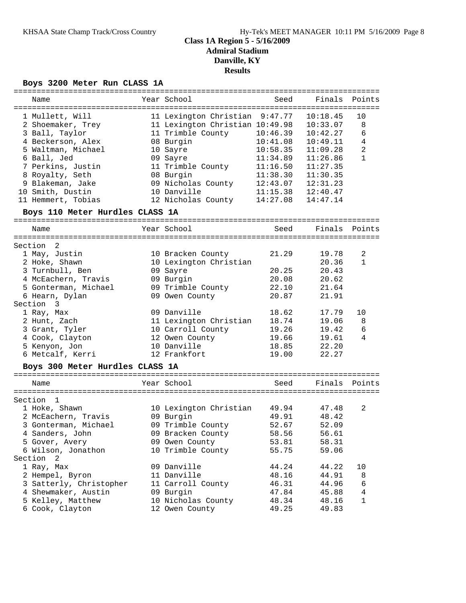#### **Boys 3200 Meter Run CLASS 1A**

| Finals<br>Points<br>Year School<br>Seed<br>Name<br>1 Mullett, Will<br>11 Lexington Christian<br>9:47.77<br>10:18.45<br>10<br>8<br>2 Shoemaker, Trey<br>11 Lexington Christian 10:49.98<br>10:33.07<br>10:46.39<br>3 Ball, Taylor<br>11 Trimble County<br>10:42.27<br>6<br>$\overline{4}$<br>4 Beckerson, Alex<br>08 Burgin<br>10:41.08<br>10:49.11<br>$\overline{c}$<br>5 Waltman, Michael<br>10 Sayre<br>10:58.35<br>11:09.28<br>09 Sayre<br>6 Ball, Jed<br>11:34.89<br>11:26.86<br>$\mathbf{1}$<br>7 Perkins, Justin<br>11 Trimble County<br>11:16.50<br>11:27.35<br>8 Royalty, Seth<br>08 Burgin<br>11:38.30<br>11:30.35<br>09 Nicholas County 12:43.07<br>9 Blakeman, Jake<br>12:31.23<br>11:15.38<br>10 Smith, Dustin<br>10 Danville<br>12:40.47<br>11 Hemmert, Tobias<br>12 Nicholas County<br>14:27.08<br>14:47.14<br>Boys 110 Meter Hurdles CLASS 1A<br>Year School<br>Finals<br>Points<br>Name<br>Seed<br>Section<br>2<br>1 May, Justin<br>21.29<br>19.78<br>2<br>10 Bracken County<br>2 Hoke, Shawn<br>10 Lexington Christian<br>20.36<br>1<br>3 Turnbull, Ben<br>09 Sayre<br>20.25<br>20.43<br>4 McEachern, Travis<br>09 Burgin<br>20.08<br>20.62<br>5 Gonterman, Michael<br>09 Trimble County<br>22.10<br>21.64<br>09 Owen County<br>20.87<br>6 Hearn, Dylan<br>21.91<br>Section<br>- 3<br>09 Danville<br>18.62<br>17.79<br>10<br>1 Ray, Max<br>11 Lexington Christian<br>18.74<br>19.06<br>8<br>2 Hunt, Zach<br>3 Grant, Tyler<br>19.26<br>19.42<br>6<br>10 Carroll County<br>4 Cook, Clayton<br>19.66<br>12 Owen County<br>19.61<br>4<br>10 Danville<br>18.85<br>22.20<br>5 Kenyon, Jon<br>6 Metcalf, Kerri<br>12 Frankfort<br>19.00<br>22.27<br>Boys 300 Meter Hurdles CLASS 1A<br>Name<br>Year School<br>Seed<br>Finals<br>Points<br>Section<br>- 1<br>2<br>1 Hoke, Shawn<br>10 Lexington Christian<br>49.94<br>47.48<br>09 Burgin<br>49.91<br>2 McEachern, Travis<br>48.42<br>3 Gonterman, Michael<br>09 Trimble County<br>52.67<br>52.09<br>4 Sanders, John<br>58.56<br>09 Bracken County<br>56.61<br>09 Owen County<br>53.81<br>58.31<br>5 Gover, Avery<br>6 Wilson, Jonathon<br>10 Trimble County<br>55.75<br>59.06<br>Section 2<br>09 Danville<br>44.24<br>44.22<br>10<br>1 Ray, Max<br>11 Danville<br>48.16<br>44.91<br>8<br>2 Hempel, Byron<br>3 Satterly, Christopher<br>11 Carroll County<br>46.31<br>44.96<br>6<br>09 Burgin<br>4 Shewmaker, Austin<br>47.84<br>45.88<br>4<br>5 Kelley, Matthew<br>10 Nicholas County<br>48.34<br>48.16<br>1 | ============================ |  |       |       |  |
|------------------------------------------------------------------------------------------------------------------------------------------------------------------------------------------------------------------------------------------------------------------------------------------------------------------------------------------------------------------------------------------------------------------------------------------------------------------------------------------------------------------------------------------------------------------------------------------------------------------------------------------------------------------------------------------------------------------------------------------------------------------------------------------------------------------------------------------------------------------------------------------------------------------------------------------------------------------------------------------------------------------------------------------------------------------------------------------------------------------------------------------------------------------------------------------------------------------------------------------------------------------------------------------------------------------------------------------------------------------------------------------------------------------------------------------------------------------------------------------------------------------------------------------------------------------------------------------------------------------------------------------------------------------------------------------------------------------------------------------------------------------------------------------------------------------------------------------------------------------------------------------------------------------------------------------------------------------------------------------------------------------------------------------------------------------------------------------------------------------------------------------------------------------------------------------------------------------------------------------------------------------------------------------------------------------------------------------------------------------------------------------------------------------------------------------------------------------------|------------------------------|--|-------|-------|--|
|                                                                                                                                                                                                                                                                                                                                                                                                                                                                                                                                                                                                                                                                                                                                                                                                                                                                                                                                                                                                                                                                                                                                                                                                                                                                                                                                                                                                                                                                                                                                                                                                                                                                                                                                                                                                                                                                                                                                                                                                                                                                                                                                                                                                                                                                                                                                                                                                                                                                        |                              |  |       |       |  |
|                                                                                                                                                                                                                                                                                                                                                                                                                                                                                                                                                                                                                                                                                                                                                                                                                                                                                                                                                                                                                                                                                                                                                                                                                                                                                                                                                                                                                                                                                                                                                                                                                                                                                                                                                                                                                                                                                                                                                                                                                                                                                                                                                                                                                                                                                                                                                                                                                                                                        |                              |  |       |       |  |
|                                                                                                                                                                                                                                                                                                                                                                                                                                                                                                                                                                                                                                                                                                                                                                                                                                                                                                                                                                                                                                                                                                                                                                                                                                                                                                                                                                                                                                                                                                                                                                                                                                                                                                                                                                                                                                                                                                                                                                                                                                                                                                                                                                                                                                                                                                                                                                                                                                                                        |                              |  |       |       |  |
|                                                                                                                                                                                                                                                                                                                                                                                                                                                                                                                                                                                                                                                                                                                                                                                                                                                                                                                                                                                                                                                                                                                                                                                                                                                                                                                                                                                                                                                                                                                                                                                                                                                                                                                                                                                                                                                                                                                                                                                                                                                                                                                                                                                                                                                                                                                                                                                                                                                                        |                              |  |       |       |  |
|                                                                                                                                                                                                                                                                                                                                                                                                                                                                                                                                                                                                                                                                                                                                                                                                                                                                                                                                                                                                                                                                                                                                                                                                                                                                                                                                                                                                                                                                                                                                                                                                                                                                                                                                                                                                                                                                                                                                                                                                                                                                                                                                                                                                                                                                                                                                                                                                                                                                        |                              |  |       |       |  |
|                                                                                                                                                                                                                                                                                                                                                                                                                                                                                                                                                                                                                                                                                                                                                                                                                                                                                                                                                                                                                                                                                                                                                                                                                                                                                                                                                                                                                                                                                                                                                                                                                                                                                                                                                                                                                                                                                                                                                                                                                                                                                                                                                                                                                                                                                                                                                                                                                                                                        |                              |  |       |       |  |
|                                                                                                                                                                                                                                                                                                                                                                                                                                                                                                                                                                                                                                                                                                                                                                                                                                                                                                                                                                                                                                                                                                                                                                                                                                                                                                                                                                                                                                                                                                                                                                                                                                                                                                                                                                                                                                                                                                                                                                                                                                                                                                                                                                                                                                                                                                                                                                                                                                                                        |                              |  |       |       |  |
|                                                                                                                                                                                                                                                                                                                                                                                                                                                                                                                                                                                                                                                                                                                                                                                                                                                                                                                                                                                                                                                                                                                                                                                                                                                                                                                                                                                                                                                                                                                                                                                                                                                                                                                                                                                                                                                                                                                                                                                                                                                                                                                                                                                                                                                                                                                                                                                                                                                                        |                              |  |       |       |  |
|                                                                                                                                                                                                                                                                                                                                                                                                                                                                                                                                                                                                                                                                                                                                                                                                                                                                                                                                                                                                                                                                                                                                                                                                                                                                                                                                                                                                                                                                                                                                                                                                                                                                                                                                                                                                                                                                                                                                                                                                                                                                                                                                                                                                                                                                                                                                                                                                                                                                        |                              |  |       |       |  |
|                                                                                                                                                                                                                                                                                                                                                                                                                                                                                                                                                                                                                                                                                                                                                                                                                                                                                                                                                                                                                                                                                                                                                                                                                                                                                                                                                                                                                                                                                                                                                                                                                                                                                                                                                                                                                                                                                                                                                                                                                                                                                                                                                                                                                                                                                                                                                                                                                                                                        |                              |  |       |       |  |
|                                                                                                                                                                                                                                                                                                                                                                                                                                                                                                                                                                                                                                                                                                                                                                                                                                                                                                                                                                                                                                                                                                                                                                                                                                                                                                                                                                                                                                                                                                                                                                                                                                                                                                                                                                                                                                                                                                                                                                                                                                                                                                                                                                                                                                                                                                                                                                                                                                                                        |                              |  |       |       |  |
|                                                                                                                                                                                                                                                                                                                                                                                                                                                                                                                                                                                                                                                                                                                                                                                                                                                                                                                                                                                                                                                                                                                                                                                                                                                                                                                                                                                                                                                                                                                                                                                                                                                                                                                                                                                                                                                                                                                                                                                                                                                                                                                                                                                                                                                                                                                                                                                                                                                                        |                              |  |       |       |  |
|                                                                                                                                                                                                                                                                                                                                                                                                                                                                                                                                                                                                                                                                                                                                                                                                                                                                                                                                                                                                                                                                                                                                                                                                                                                                                                                                                                                                                                                                                                                                                                                                                                                                                                                                                                                                                                                                                                                                                                                                                                                                                                                                                                                                                                                                                                                                                                                                                                                                        |                              |  |       |       |  |
|                                                                                                                                                                                                                                                                                                                                                                                                                                                                                                                                                                                                                                                                                                                                                                                                                                                                                                                                                                                                                                                                                                                                                                                                                                                                                                                                                                                                                                                                                                                                                                                                                                                                                                                                                                                                                                                                                                                                                                                                                                                                                                                                                                                                                                                                                                                                                                                                                                                                        |                              |  |       |       |  |
|                                                                                                                                                                                                                                                                                                                                                                                                                                                                                                                                                                                                                                                                                                                                                                                                                                                                                                                                                                                                                                                                                                                                                                                                                                                                                                                                                                                                                                                                                                                                                                                                                                                                                                                                                                                                                                                                                                                                                                                                                                                                                                                                                                                                                                                                                                                                                                                                                                                                        |                              |  |       |       |  |
|                                                                                                                                                                                                                                                                                                                                                                                                                                                                                                                                                                                                                                                                                                                                                                                                                                                                                                                                                                                                                                                                                                                                                                                                                                                                                                                                                                                                                                                                                                                                                                                                                                                                                                                                                                                                                                                                                                                                                                                                                                                                                                                                                                                                                                                                                                                                                                                                                                                                        |                              |  |       |       |  |
|                                                                                                                                                                                                                                                                                                                                                                                                                                                                                                                                                                                                                                                                                                                                                                                                                                                                                                                                                                                                                                                                                                                                                                                                                                                                                                                                                                                                                                                                                                                                                                                                                                                                                                                                                                                                                                                                                                                                                                                                                                                                                                                                                                                                                                                                                                                                                                                                                                                                        |                              |  |       |       |  |
|                                                                                                                                                                                                                                                                                                                                                                                                                                                                                                                                                                                                                                                                                                                                                                                                                                                                                                                                                                                                                                                                                                                                                                                                                                                                                                                                                                                                                                                                                                                                                                                                                                                                                                                                                                                                                                                                                                                                                                                                                                                                                                                                                                                                                                                                                                                                                                                                                                                                        |                              |  |       |       |  |
|                                                                                                                                                                                                                                                                                                                                                                                                                                                                                                                                                                                                                                                                                                                                                                                                                                                                                                                                                                                                                                                                                                                                                                                                                                                                                                                                                                                                                                                                                                                                                                                                                                                                                                                                                                                                                                                                                                                                                                                                                                                                                                                                                                                                                                                                                                                                                                                                                                                                        |                              |  |       |       |  |
|                                                                                                                                                                                                                                                                                                                                                                                                                                                                                                                                                                                                                                                                                                                                                                                                                                                                                                                                                                                                                                                                                                                                                                                                                                                                                                                                                                                                                                                                                                                                                                                                                                                                                                                                                                                                                                                                                                                                                                                                                                                                                                                                                                                                                                                                                                                                                                                                                                                                        |                              |  |       |       |  |
|                                                                                                                                                                                                                                                                                                                                                                                                                                                                                                                                                                                                                                                                                                                                                                                                                                                                                                                                                                                                                                                                                                                                                                                                                                                                                                                                                                                                                                                                                                                                                                                                                                                                                                                                                                                                                                                                                                                                                                                                                                                                                                                                                                                                                                                                                                                                                                                                                                                                        |                              |  |       |       |  |
|                                                                                                                                                                                                                                                                                                                                                                                                                                                                                                                                                                                                                                                                                                                                                                                                                                                                                                                                                                                                                                                                                                                                                                                                                                                                                                                                                                                                                                                                                                                                                                                                                                                                                                                                                                                                                                                                                                                                                                                                                                                                                                                                                                                                                                                                                                                                                                                                                                                                        |                              |  |       |       |  |
|                                                                                                                                                                                                                                                                                                                                                                                                                                                                                                                                                                                                                                                                                                                                                                                                                                                                                                                                                                                                                                                                                                                                                                                                                                                                                                                                                                                                                                                                                                                                                                                                                                                                                                                                                                                                                                                                                                                                                                                                                                                                                                                                                                                                                                                                                                                                                                                                                                                                        |                              |  |       |       |  |
|                                                                                                                                                                                                                                                                                                                                                                                                                                                                                                                                                                                                                                                                                                                                                                                                                                                                                                                                                                                                                                                                                                                                                                                                                                                                                                                                                                                                                                                                                                                                                                                                                                                                                                                                                                                                                                                                                                                                                                                                                                                                                                                                                                                                                                                                                                                                                                                                                                                                        |                              |  |       |       |  |
|                                                                                                                                                                                                                                                                                                                                                                                                                                                                                                                                                                                                                                                                                                                                                                                                                                                                                                                                                                                                                                                                                                                                                                                                                                                                                                                                                                                                                                                                                                                                                                                                                                                                                                                                                                                                                                                                                                                                                                                                                                                                                                                                                                                                                                                                                                                                                                                                                                                                        |                              |  |       |       |  |
|                                                                                                                                                                                                                                                                                                                                                                                                                                                                                                                                                                                                                                                                                                                                                                                                                                                                                                                                                                                                                                                                                                                                                                                                                                                                                                                                                                                                                                                                                                                                                                                                                                                                                                                                                                                                                                                                                                                                                                                                                                                                                                                                                                                                                                                                                                                                                                                                                                                                        |                              |  |       |       |  |
|                                                                                                                                                                                                                                                                                                                                                                                                                                                                                                                                                                                                                                                                                                                                                                                                                                                                                                                                                                                                                                                                                                                                                                                                                                                                                                                                                                                                                                                                                                                                                                                                                                                                                                                                                                                                                                                                                                                                                                                                                                                                                                                                                                                                                                                                                                                                                                                                                                                                        |                              |  |       |       |  |
|                                                                                                                                                                                                                                                                                                                                                                                                                                                                                                                                                                                                                                                                                                                                                                                                                                                                                                                                                                                                                                                                                                                                                                                                                                                                                                                                                                                                                                                                                                                                                                                                                                                                                                                                                                                                                                                                                                                                                                                                                                                                                                                                                                                                                                                                                                                                                                                                                                                                        |                              |  |       |       |  |
|                                                                                                                                                                                                                                                                                                                                                                                                                                                                                                                                                                                                                                                                                                                                                                                                                                                                                                                                                                                                                                                                                                                                                                                                                                                                                                                                                                                                                                                                                                                                                                                                                                                                                                                                                                                                                                                                                                                                                                                                                                                                                                                                                                                                                                                                                                                                                                                                                                                                        |                              |  |       |       |  |
|                                                                                                                                                                                                                                                                                                                                                                                                                                                                                                                                                                                                                                                                                                                                                                                                                                                                                                                                                                                                                                                                                                                                                                                                                                                                                                                                                                                                                                                                                                                                                                                                                                                                                                                                                                                                                                                                                                                                                                                                                                                                                                                                                                                                                                                                                                                                                                                                                                                                        |                              |  |       |       |  |
|                                                                                                                                                                                                                                                                                                                                                                                                                                                                                                                                                                                                                                                                                                                                                                                                                                                                                                                                                                                                                                                                                                                                                                                                                                                                                                                                                                                                                                                                                                                                                                                                                                                                                                                                                                                                                                                                                                                                                                                                                                                                                                                                                                                                                                                                                                                                                                                                                                                                        |                              |  |       |       |  |
|                                                                                                                                                                                                                                                                                                                                                                                                                                                                                                                                                                                                                                                                                                                                                                                                                                                                                                                                                                                                                                                                                                                                                                                                                                                                                                                                                                                                                                                                                                                                                                                                                                                                                                                                                                                                                                                                                                                                                                                                                                                                                                                                                                                                                                                                                                                                                                                                                                                                        |                              |  |       |       |  |
|                                                                                                                                                                                                                                                                                                                                                                                                                                                                                                                                                                                                                                                                                                                                                                                                                                                                                                                                                                                                                                                                                                                                                                                                                                                                                                                                                                                                                                                                                                                                                                                                                                                                                                                                                                                                                                                                                                                                                                                                                                                                                                                                                                                                                                                                                                                                                                                                                                                                        |                              |  |       |       |  |
|                                                                                                                                                                                                                                                                                                                                                                                                                                                                                                                                                                                                                                                                                                                                                                                                                                                                                                                                                                                                                                                                                                                                                                                                                                                                                                                                                                                                                                                                                                                                                                                                                                                                                                                                                                                                                                                                                                                                                                                                                                                                                                                                                                                                                                                                                                                                                                                                                                                                        |                              |  |       |       |  |
|                                                                                                                                                                                                                                                                                                                                                                                                                                                                                                                                                                                                                                                                                                                                                                                                                                                                                                                                                                                                                                                                                                                                                                                                                                                                                                                                                                                                                                                                                                                                                                                                                                                                                                                                                                                                                                                                                                                                                                                                                                                                                                                                                                                                                                                                                                                                                                                                                                                                        |                              |  |       |       |  |
|                                                                                                                                                                                                                                                                                                                                                                                                                                                                                                                                                                                                                                                                                                                                                                                                                                                                                                                                                                                                                                                                                                                                                                                                                                                                                                                                                                                                                                                                                                                                                                                                                                                                                                                                                                                                                                                                                                                                                                                                                                                                                                                                                                                                                                                                                                                                                                                                                                                                        |                              |  |       |       |  |
|                                                                                                                                                                                                                                                                                                                                                                                                                                                                                                                                                                                                                                                                                                                                                                                                                                                                                                                                                                                                                                                                                                                                                                                                                                                                                                                                                                                                                                                                                                                                                                                                                                                                                                                                                                                                                                                                                                                                                                                                                                                                                                                                                                                                                                                                                                                                                                                                                                                                        |                              |  |       |       |  |
|                                                                                                                                                                                                                                                                                                                                                                                                                                                                                                                                                                                                                                                                                                                                                                                                                                                                                                                                                                                                                                                                                                                                                                                                                                                                                                                                                                                                                                                                                                                                                                                                                                                                                                                                                                                                                                                                                                                                                                                                                                                                                                                                                                                                                                                                                                                                                                                                                                                                        |                              |  |       |       |  |
|                                                                                                                                                                                                                                                                                                                                                                                                                                                                                                                                                                                                                                                                                                                                                                                                                                                                                                                                                                                                                                                                                                                                                                                                                                                                                                                                                                                                                                                                                                                                                                                                                                                                                                                                                                                                                                                                                                                                                                                                                                                                                                                                                                                                                                                                                                                                                                                                                                                                        |                              |  |       |       |  |
|                                                                                                                                                                                                                                                                                                                                                                                                                                                                                                                                                                                                                                                                                                                                                                                                                                                                                                                                                                                                                                                                                                                                                                                                                                                                                                                                                                                                                                                                                                                                                                                                                                                                                                                                                                                                                                                                                                                                                                                                                                                                                                                                                                                                                                                                                                                                                                                                                                                                        |                              |  |       |       |  |
|                                                                                                                                                                                                                                                                                                                                                                                                                                                                                                                                                                                                                                                                                                                                                                                                                                                                                                                                                                                                                                                                                                                                                                                                                                                                                                                                                                                                                                                                                                                                                                                                                                                                                                                                                                                                                                                                                                                                                                                                                                                                                                                                                                                                                                                                                                                                                                                                                                                                        |                              |  |       |       |  |
|                                                                                                                                                                                                                                                                                                                                                                                                                                                                                                                                                                                                                                                                                                                                                                                                                                                                                                                                                                                                                                                                                                                                                                                                                                                                                                                                                                                                                                                                                                                                                                                                                                                                                                                                                                                                                                                                                                                                                                                                                                                                                                                                                                                                                                                                                                                                                                                                                                                                        |                              |  |       |       |  |
|                                                                                                                                                                                                                                                                                                                                                                                                                                                                                                                                                                                                                                                                                                                                                                                                                                                                                                                                                                                                                                                                                                                                                                                                                                                                                                                                                                                                                                                                                                                                                                                                                                                                                                                                                                                                                                                                                                                                                                                                                                                                                                                                                                                                                                                                                                                                                                                                                                                                        |                              |  |       |       |  |
|                                                                                                                                                                                                                                                                                                                                                                                                                                                                                                                                                                                                                                                                                                                                                                                                                                                                                                                                                                                                                                                                                                                                                                                                                                                                                                                                                                                                                                                                                                                                                                                                                                                                                                                                                                                                                                                                                                                                                                                                                                                                                                                                                                                                                                                                                                                                                                                                                                                                        |                              |  |       |       |  |
|                                                                                                                                                                                                                                                                                                                                                                                                                                                                                                                                                                                                                                                                                                                                                                                                                                                                                                                                                                                                                                                                                                                                                                                                                                                                                                                                                                                                                                                                                                                                                                                                                                                                                                                                                                                                                                                                                                                                                                                                                                                                                                                                                                                                                                                                                                                                                                                                                                                                        |                              |  |       |       |  |
|                                                                                                                                                                                                                                                                                                                                                                                                                                                                                                                                                                                                                                                                                                                                                                                                                                                                                                                                                                                                                                                                                                                                                                                                                                                                                                                                                                                                                                                                                                                                                                                                                                                                                                                                                                                                                                                                                                                                                                                                                                                                                                                                                                                                                                                                                                                                                                                                                                                                        |                              |  |       |       |  |
|                                                                                                                                                                                                                                                                                                                                                                                                                                                                                                                                                                                                                                                                                                                                                                                                                                                                                                                                                                                                                                                                                                                                                                                                                                                                                                                                                                                                                                                                                                                                                                                                                                                                                                                                                                                                                                                                                                                                                                                                                                                                                                                                                                                                                                                                                                                                                                                                                                                                        |                              |  |       |       |  |
| 12 Owen County                                                                                                                                                                                                                                                                                                                                                                                                                                                                                                                                                                                                                                                                                                                                                                                                                                                                                                                                                                                                                                                                                                                                                                                                                                                                                                                                                                                                                                                                                                                                                                                                                                                                                                                                                                                                                                                                                                                                                                                                                                                                                                                                                                                                                                                                                                                                                                                                                                                         | 6 Cook, Clayton              |  | 49.25 | 49.83 |  |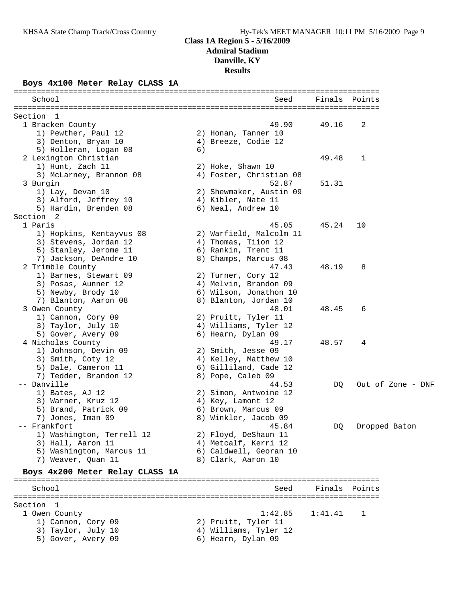#### **Results**

## **Boys 4x100 Meter Relay CLASS 1A**

| School                               | Seed                    |         | Finals Points     |
|--------------------------------------|-------------------------|---------|-------------------|
| Section 1                            |                         |         |                   |
| 1 Bracken County                     | 49.90                   | 49.16   | 2                 |
| 1) Pewther, Paul 12                  | 2) Honan, Tanner 10     |         |                   |
| 3) Denton, Bryan 10                  | 4) Breeze, Codie 12     |         |                   |
| 5) Holleran, Logan 08                | 6)                      |         |                   |
| 2 Lexington Christian                |                         | 49.48   | 1                 |
| 1) Hunt, Zach 11                     | 2) Hoke, Shawn 10       |         |                   |
| 3) McLarney, Brannon 08              | 4) Foster, Christian 08 |         |                   |
| 3 Burgin                             | 52.87                   | 51.31   |                   |
| 1) Lay, Devan 10                     | 2) Shewmaker, Austin 09 |         |                   |
| 3) Alford, Jeffrey 10                | 4) Kibler, Nate 11      |         |                   |
| 5) Hardin, Brenden 08                | 6) Neal, Andrew 10      |         |                   |
| Section <sub>2</sub>                 |                         |         |                   |
| 1 Paris                              | 45.05                   | 45.24   | 10                |
| 1) Hopkins, Kentayvus 08             | 2) Warfield, Malcolm 11 |         |                   |
| 3) Stevens, Jordan 12                | 4) Thomas, Tiion 12     |         |                   |
| 5) Stanley, Jerome 11                | 6) Rankin, Trent 11     |         |                   |
| 7) Jackson, DeAndre 10               | 8) Champs, Marcus 08    |         |                   |
| 2 Trimble County                     | 47.43                   | 48.19   | 8                 |
| 1) Barnes, Stewart 09                | 2) Turner, Cory 12      |         |                   |
| 3) Posas, Aunner 12                  | 4) Melvin, Brandon 09   |         |                   |
| 5) Newby, Brody 10                   | 6) Wilson, Jonathon 10  |         |                   |
| 7) Blanton, Aaron 08                 | 8) Blanton, Jordan 10   |         |                   |
| 3 Owen County                        | 48.01                   | 48.45   | 6                 |
| 1) Cannon, Cory 09                   | 2) Pruitt, Tyler 11     |         |                   |
| 3) Taylor, July 10                   | 4) Williams, Tyler 12   |         |                   |
| 5) Gover, Avery 09                   | 6) Hearn, Dylan 09      |         |                   |
| 4 Nicholas County                    | 49.17                   | 48.57   | 4                 |
| 1) Johnson, Devin 09                 | 2) Smith, Jesse 09      |         |                   |
| 3) Smith, Coty 12                    | 4) Kelley, Matthew 10   |         |                   |
|                                      | 6) Gilliland, Cade 12   |         |                   |
| 5) Dale, Cameron 11                  | 8) Pope, Caleb 09       |         |                   |
| 7) Tedder, Brandon 12<br>-- Danville |                         |         |                   |
|                                      | 44.53                   | DQ.     | Out of Zone - DNF |
| 1) Bates, AJ 12                      | 2) Simon, Antwoine 12   |         |                   |
| 3) Warner, Kruz 12                   | 4) Key, Lamont 12       |         |                   |
| 5) Brand, Patrick 09                 | 6) Brown, Marcus 09     |         |                   |
| 7) Jones, Iman 09                    | 8) Winkler, Jacob 09    |         |                   |
| -- Frankfort                         | 45.84                   | DQ      | Dropped Baton     |
| 1) Washington, Terrell 12            | 2) Floyd, DeShaun 11    |         |                   |
| 3) Hall, Aaron 11                    | 4) Metcalf, Kerri 12    |         |                   |
| 5) Washington, Marcus 11             | 6) Caldwell, Georan 10  |         |                   |
| 7) Weaver, Quan 11                   | 8) Clark, Aaron 10      |         |                   |
| Boys 4x200 Meter Relay CLASS 1A      |                         |         |                   |
| School                               | Seed                    |         | Finals Points     |
| Section 1                            |                         |         |                   |
| 1 Owen County                        | 1:42.85                 | 1:41.41 | ı                 |
| 1) Cannon, Cory 09                   |                         |         |                   |
|                                      | 2) Pruitt, Tyler 11     |         |                   |
| 3) Taylor, July 10                   | 4) Williams, Tyler 12   |         |                   |
| 5) Gover, Avery 09                   | 6) Hearn, Dylan 09      |         |                   |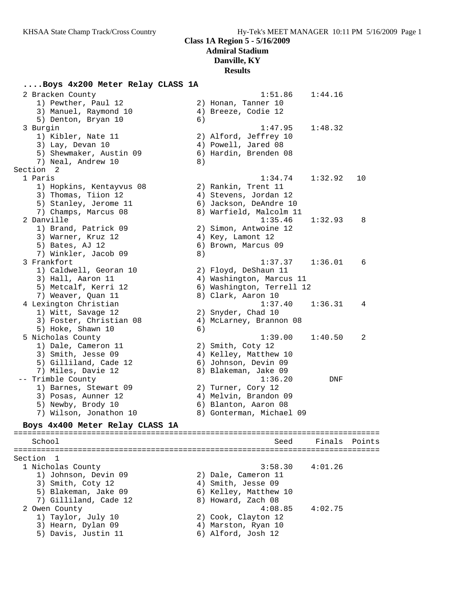#### **....Boys 4x200 Meter Relay CLASS 1A**

|         | 2 Bracken County<br>1) Pewther, Paul 12<br>3) Manuel, Raymond 10<br>5) Denton, Bryan 10                           | 6) | 1:51.86<br>2) Honan, Tanner 10<br>4) Breeze, Codie 12                                                          | 1:44.16 |        |
|---------|-------------------------------------------------------------------------------------------------------------------|----|----------------------------------------------------------------------------------------------------------------|---------|--------|
|         | 3 Burgin<br>1) Kibler, Nate 11<br>3) Lay, Devan 10<br>5) Shewmaker, Austin 09<br>7) Neal, Andrew 10<br>Section 2  | 8) | 1:47.95<br>2) Alford, Jeffrey 10<br>4) Powell, Jared 08<br>6) Hardin, Brenden 08                               | 1:48.32 |        |
|         | 1 Paris<br>1) Hopkins, Kentayvus 08<br>3) Thomas, Tiion 12<br>5) Stanley, Jerome 11<br>7) Champs, Marcus 08       |    | 1:34.74<br>2) Rankin, Trent 11<br>4) Stevens, Jordan 12<br>6) Jackson, DeAndre 10<br>8) Warfield, Malcolm 11   | 1:32.92 | 10     |
|         | 2 Danville<br>1) Brand, Patrick 09<br>3) Warner, Kruz 12<br>5) Bates, AJ 12<br>7) Winkler, Jacob 09               | 8) | 1:35.46<br>2) Simon, Antwoine 12<br>4) Key, Lamont 12<br>6) Brown, Marcus 09                                   | 1:32.93 | 8      |
|         | 3 Frankfort<br>1) Caldwell, Georan 10<br>3) Hall, Aaron 11<br>5) Metcalf, Kerri 12<br>7) Weaver, Quan 11          |    | 1:37.37<br>2) Floyd, DeShaun 11<br>4) Washington, Marcus 11<br>6) Washington, Terrell 12<br>8) Clark, Aaron 10 | 1:36.01 | 6      |
|         | 4 Lexington Christian<br>1) Witt, Savage 12<br>3) Foster, Christian 08<br>5) Hoke, Shawn 10                       | 6) | 1:37.40<br>2) Snyder, Chad 10<br>4) McLarney, Brannon 08                                                       | 1:36.31 | 4      |
|         | 5 Nicholas County<br>1) Dale, Cameron 11<br>3) Smith, Jesse 09<br>5) Gilliland, Cade 12<br>7) Miles, Davie 12     |    | 1:39.00<br>2) Smith, Coty 12<br>4) Kelley, Matthew 10<br>6) Johnson, Devin 09<br>8) Blakeman, Jake 09          | 1:40.50 | 2      |
|         | -- Trimble County<br>1) Barnes, Stewart 09<br>3) Posas, Aunner 12<br>5) Newby, Brody 10<br>7) Wilson, Jonathon 10 |    | 1:36.20<br>2) Turner, Cory 12<br>4) Melvin, Brandon 09<br>6) Blanton, Aaron 08<br>8) Gonterman, Michael 09     | DNF     |        |
|         | Boys 4x400 Meter Relay CLASS 1A                                                                                   |    |                                                                                                                |         |        |
|         | School                                                                                                            |    | Seed                                                                                                           | Finals  | Points |
| Section | - 1<br>1 Nicholas County<br>1) Johnson, Devin 09<br>3) Smith, Coty 12<br>5) Blakeman, Jake 09                     |    | 3:58.30<br>2) Dale, Cameron 11<br>4) Smith, Jesse 09<br>6) Kelley, Matthew 10                                  | 4:01.26 |        |
|         | 7) Gilliland, Cade 12<br>2 Owen County<br>1) Taylor, July 10<br>3) Hearn, Dylan 09<br>5) Davis, Justin 11         |    | 8) Howard, Zach 08<br>4:08.85<br>2) Cook, Clayton 12<br>4) Marston, Ryan 10<br>6) Alford, Josh 12              | 4:02.75 |        |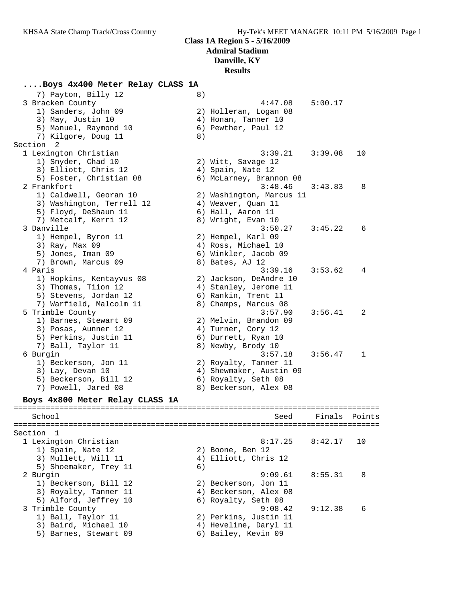#### **....Boys 4x400 Meter Relay CLASS 1A**

| 7) Payton, Billy 12             | 8) |                          |         |        |
|---------------------------------|----|--------------------------|---------|--------|
| 3 Bracken County                |    | 4:47.08                  | 5:00.17 |        |
| 1) Sanders, John 09             |    | 2) Holleran, Logan 08    |         |        |
| 3) May, Justin 10               |    | 4) Honan, Tanner 10      |         |        |
| 5) Manuel, Raymond 10           |    | 6) Pewther, Paul 12      |         |        |
| 7) Kilgore, Doug 11             | 8) |                          |         |        |
| Section <sub>2</sub>            |    |                          |         |        |
| 1 Lexington Christian           |    | 3:39.21                  | 3:39.08 | 10     |
| 1) Snyder, Chad 10              |    | 2) Witt, Savage 12       |         |        |
| 3) Elliott, Chris 12            |    | 4) Spain, Nate 12        |         |        |
| 5) Foster, Christian 08         |    | 6) McLarney, Brannon 08  |         |        |
| 2 Frankfort                     |    | 3:48.46                  |         | 8      |
|                                 |    |                          | 3:43.83 |        |
| 1) Caldwell, Georan 10          |    | 2) Washington, Marcus 11 |         |        |
| 3) Washington, Terrell 12       |    | 4) Weaver, Quan 11       |         |        |
| 5) Floyd, DeShaun 11            |    | 6) Hall, Aaron 11        |         |        |
| 7) Metcalf, Kerri 12            |    | 8) Wright, Evan 10       |         |        |
| 3 Danville                      |    | 3:50.27                  | 3:45.22 | 6      |
| 1) Hempel, Byron 11             |    | 2) Hempel, Karl 09       |         |        |
| 3) Ray, Max 09                  |    | 4) Ross, Michael 10      |         |        |
| 5) Jones, Iman 09               |    | 6) Winkler, Jacob 09     |         |        |
| 7) Brown, Marcus 09             |    | 8) Bates, AJ 12          |         |        |
| 4 Paris                         |    | 3:39.16                  | 3:53.62 | 4      |
| 1) Hopkins, Kentayvus 08        |    | 2) Jackson, DeAndre 10   |         |        |
| 3) Thomas, Tiion 12             |    | 4) Stanley, Jerome 11    |         |        |
| 5) Stevens, Jordan 12           |    | 6) Rankin, Trent 11      |         |        |
| 7) Warfield, Malcolm 11         |    | 8) Champs, Marcus 08     |         |        |
| 5 Trimble County                |    | 3:57.90                  | 3:56.41 | 2      |
| 1) Barnes, Stewart 09           |    | 2) Melvin, Brandon 09    |         |        |
| 3) Posas, Aunner 12             |    | 4) Turner, Cory 12       |         |        |
| 5) Perkins, Justin 11           |    | 6) Durrett, Ryan 10      |         |        |
| 7) Ball, Taylor 11              |    | 8) Newby, Brody 10       |         |        |
| 6 Burgin                        |    | 3:57.18                  | 3:56.47 | 1      |
|                                 |    |                          |         |        |
| 1) Beckerson, Jon 11            |    | 2) Royalty, Tanner 11    |         |        |
| 3) Lay, Devan 10                |    | 4) Shewmaker, Austin 09  |         |        |
| 5) Beckerson, Bill 12           |    | 6) Royalty, Seth 08      |         |        |
| 7) Powell, Jared 08             |    | 8) Beckerson, Alex 08    |         |        |
| Boys 4x800 Meter Relay CLASS 1A |    |                          |         |        |
|                                 |    |                          |         |        |
| School                          |    | Seed                     | Finals  | Points |
| Section 1                       |    |                          |         |        |
| 1 Lexington Christian           |    | 8:17.25                  | 8:42.17 | 10     |
| 1) Spain, Nate 12               |    |                          |         |        |
|                                 |    | 2) Boone, Ben 12         |         |        |
| 3) Mullett, Will 11             |    | 4) Elliott, Chris 12     |         |        |
| 5) Shoemaker, Trey 11           | 6) |                          |         |        |
| 2 Burgin                        |    | 9:09.61                  | 8:55.31 | 8      |
| 1) Beckerson, Bill 12           |    | 2) Beckerson, Jon 11     |         |        |
| 3) Royalty, Tanner 11           |    | 4) Beckerson, Alex 08    |         |        |
| 5) Alford, Jeffrey 10           |    | 6) Royalty, Seth 08      |         |        |
| 3 Trimble County                |    | 9:08.42                  | 9:12.38 | 6      |
| 1) Ball, Taylor 11              |    | 2) Perkins, Justin 11    |         |        |
| 3) Baird, Michael 10            |    | 4) Heveline, Daryl 11    |         |        |
| 5) Barnes, Stewart 09           |    | 6) Bailey, Kevin 09      |         |        |